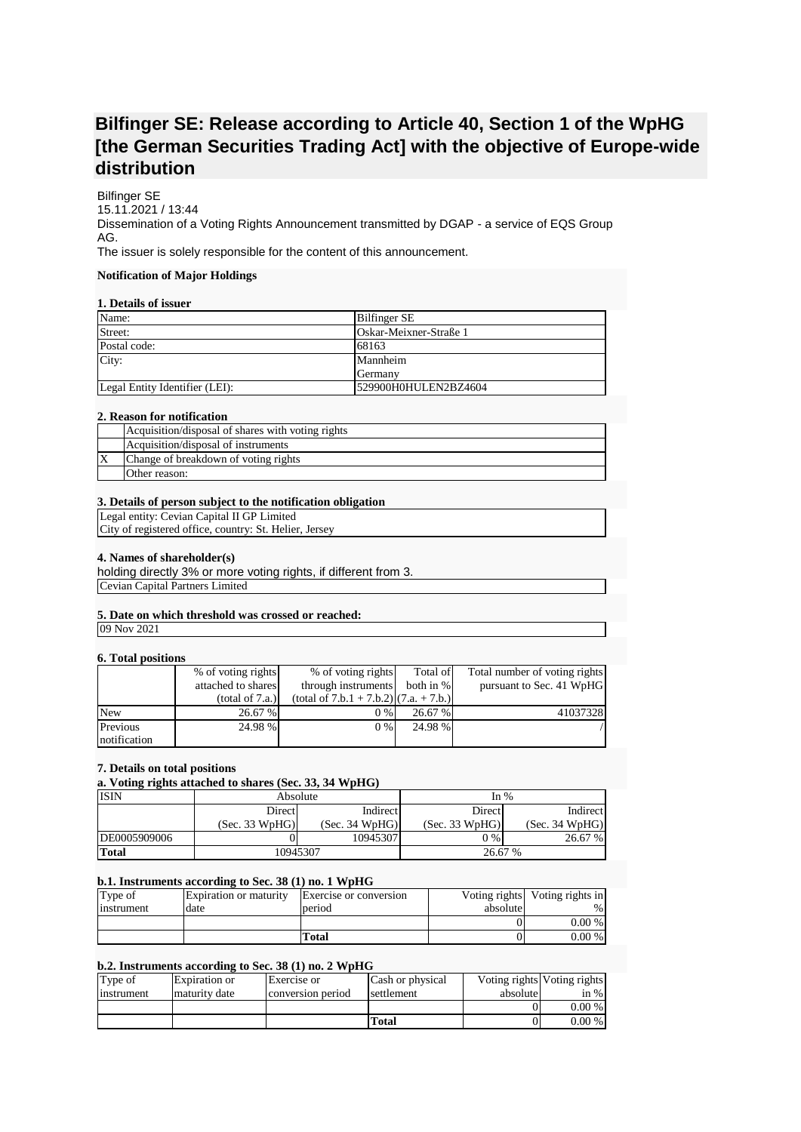# **Bilfinger SE: Release according to Article 40, Section 1 of the WpHG [the German Securities Trading Act] with the objective of Europe-wide distribution**

Bilfinger SE 15.11.2021 / 13:44 Dissemination of a Voting Rights Announcement transmitted by DGAP - a service of EQS Group AG. The issuer is solely responsible for the content of this announcement.

#### **Notification of Major Holdings**

## **1. Details of issuer**

| Name:                          | <b>Bilfinger SE</b>    |
|--------------------------------|------------------------|
| Street:                        | Oskar-Meixner-Straße 1 |
| Postal code:                   | 68163                  |
| City:                          | Mannheim               |
|                                | Germany                |
| Legal Entity Identifier (LEI): | 529900H0HULEN2BZ4604   |

#### **2. Reason for notification**

| Acquisition/disposal of shares with voting rights |
|---------------------------------------------------|
| Acquisition/disposal of instruments               |
| Change of breakdown of voting rights              |
| Other reason:                                     |

#### **3. Details of person subject to the notification obligation**

Legal entity: Cevian Capital II GP Limited City of registered office, country: St. Helier, Jersey

#### **4. Names of shareholder(s)**

holding directly 3% or more voting rights, if different from 3. Cevian Capital Partners Limited

## **5. Date on which threshold was crossed or reached:**

09 Nov 2021

## **6. Total positions**

|                          | % of voting rights<br>attached to shares | % of voting rights<br>through instruments | Total of<br>both in % | Total number of voting rights<br>pursuant to Sec. 41 WpHG |
|--------------------------|------------------------------------------|-------------------------------------------|-----------------------|-----------------------------------------------------------|
|                          | (total of 7.a.)                          | $(total of 7.b.1 + 7.b.2) (7.a. + 7.b.)$  |                       |                                                           |
| New                      | 26.67 %                                  | 0 %                                       | 26.67 %               | 41037328                                                  |
| Previous<br>notification | 24.98 %                                  | $0\%$                                     | 24.98 %               |                                                           |

#### **7. Details on total positions**

#### **a. Voting rights attached to shares (Sec. 33, 34 WpHG)**

| <b>ISIN</b>  | Absolute       |                | In $%$         |                |
|--------------|----------------|----------------|----------------|----------------|
|              | Direct         | Indirect       | Direct         | Indirect       |
|              | (Sec. 33 WpHG) | (Sec. 34 WpHG) | (Sec. 33 WpHG) | (Sec. 34 WpHG) |
| DE0005909006 |                | 10945307       | $0\%$          | 26.67<br>$\%$  |
| Total        | 10945307       |                | 26.67 %        |                |

#### **b.1. Instruments according to Sec. 38 (1) no. 1 WpHG**

| Type of    | <b>Expiration or maturity</b> | Exercise or conversion |          | Voting rights Voting rights in |
|------------|-------------------------------|------------------------|----------|--------------------------------|
| instrument | date                          | period                 | absolute | $\%$                           |
|            |                               |                        |          | $0.00\%$                       |
|            |                               | Total                  |          | $0.00\%$                       |

#### **b.2. Instruments according to Sec. 38 (1) no. 2 WpHG**

| Type of    | Expiration or | Exercise or       | Cash or physical | Voting rights Voting rights |        |
|------------|---------------|-------------------|------------------|-----------------------------|--------|
| instrument | maturity date | conversion period | settlement       | absolute                    | in $%$ |
|            |               |                   |                  |                             | 0.00 % |
|            |               |                   | Total            |                             | 0.00 % |